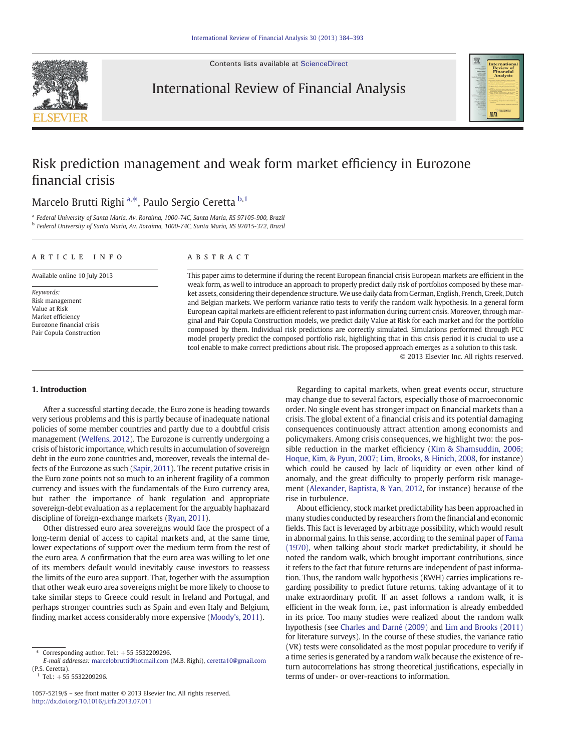Contents lists available at [ScienceDirect](http://www.sciencedirect.com/science/journal/10575219)



International Review of Financial Analysis



## Risk prediction management and weak form market efficiency in Eurozone financial crisis

### Marcelo Brutti Righi <sup>a,\*</sup>, Paulo Sergio Ceretta <sup>b,1</sup>

<sup>a</sup> Federal University of Santa Maria, Av. Roraima, 1000-74C, Santa Maria, RS 97105-900, Brazil <sup>b</sup> Federal University of Santa Maria, Av. Roraima, 1000-74C, Santa Maria, RS 97015-372, Brazil

#### ARTICLE INFO ABSTRACT

Available online 10 July 2013

Keywords: Risk management Value at Risk Market efficiency Eurozone financial crisis Pair Copula Construction

This paper aims to determine if during the recent European financial crisis European markets are efficient in the weak form, as well to introduce an approach to properly predict daily risk of portfolios composed by these market assets, considering their dependence structure.We use daily data from German, English, French, Greek, Dutch and Belgian markets. We perform variance ratio tests to verify the random walk hypothesis. In a general form European capital markets are efficient referent to past information during current crisis. Moreover, through marginal and Pair Copula Construction models, we predict daily Value at Risk for each market and for the portfolio composed by them. Individual risk predictions are correctly simulated. Simulations performed through PCC model properly predict the composed portfolio risk, highlighting that in this crisis period it is crucial to use a tool enable to make correct predictions about risk. The proposed approach emerges as a solution to this task.

© 2013 Elsevier Inc. All rights reserved.

#### 1. Introduction

After a successful starting decade, the Euro zone is heading towards very serious problems and this is partly because of inadequate national policies of some member countries and partly due to a doubtful crisis management [\(Welfens, 2012](#page--1-0)). The Eurozone is currently undergoing a crisis of historic importance, which results in accumulation of sovereign debt in the euro zone countries and, moreover, reveals the internal defects of the Eurozone as such ([Sapir, 2011](#page--1-0)). The recent putative crisis in the Euro zone points not so much to an inherent fragility of a common currency and issues with the fundamentals of the Euro currency area, but rather the importance of bank regulation and appropriate sovereign-debt evaluation as a replacement for the arguably haphazard discipline of foreign-exchange markets [\(Ryan, 2011\)](#page--1-0).

Other distressed euro area sovereigns would face the prospect of a long-term denial of access to capital markets and, at the same time, lower expectations of support over the medium term from the rest of the euro area. A confirmation that the euro area was willing to let one of its members default would inevitably cause investors to reassess the limits of the euro area support. That, together with the assumption that other weak euro area sovereigns might be more likely to choose to take similar steps to Greece could result in Ireland and Portugal, and perhaps stronger countries such as Spain and even Italy and Belgium, finding market access considerably more expensive [\(Moody's, 2011](#page--1-0)).

Regarding to capital markets, when great events occur, structure may change due to several factors, especially those of macroeconomic order. No single event has stronger impact on financial markets than a crisis. The global extent of a financial crisis and its potential damaging consequences continuously attract attention among economists and policymakers. Among crisis consequences, we highlight two: the possible reduction in the market efficiency [\(Kim & Shamsuddin, 2006;](#page--1-0) [Hoque, Kim, & Pyun, 2007; Lim, Brooks, & Hinich, 2008](#page--1-0), for instance) which could be caused by lack of liquidity or even other kind of anomaly, and the great difficulty to properly perform risk management ([Alexander, Baptista, & Yan, 2012](#page--1-0), for instance) because of the rise in turbulence.

About efficiency, stock market predictability has been approached in many studies conducted by researchers from the financial and economic fields. This fact is leveraged by arbitrage possibility, which would result in abnormal gains. In this sense, according to the seminal paper of [Fama](#page--1-0) [\(1970\)](#page--1-0), when talking about stock market predictability, it should be noted the random walk, which brought important contributions, since it refers to the fact that future returns are independent of past information. Thus, the random walk hypothesis (RWH) carries implications regarding possibility to predict future returns, taking advantage of it to make extraordinary profit. If an asset follows a random walk, it is efficient in the weak form, i.e., past information is already embedded in its price. Too many studies were realized about the random walk hypothesis (see [Charles and Darné \(2009\)](#page--1-0) and [Lim and Brooks \(2011\)](#page--1-0) for literature surveys). In the course of these studies, the variance ratio (VR) tests were consolidated as the most popular procedure to verify if a time series is generated by a random walk because the existence of return autocorrelations has strong theoretical justifications, especially in terms of under- or over-reactions to information.

<sup>⁎</sup> Corresponding author. Tel.: +55 5532209296.

E-mail addresses: [marcelobrutti@hotmail.com](mailto:marcelobrutti@hotmail.com) (M.B. Righi), [ceretta10@gmail.com](mailto:ceretta10@gmail.com) (P.S. Ceretta).

 $Tel.: +55 5532209296.$ 

<sup>1057-5219/\$</sup> – see front matter © 2013 Elsevier Inc. All rights reserved. <http://dx.doi.org/10.1016/j.irfa.2013.07.011>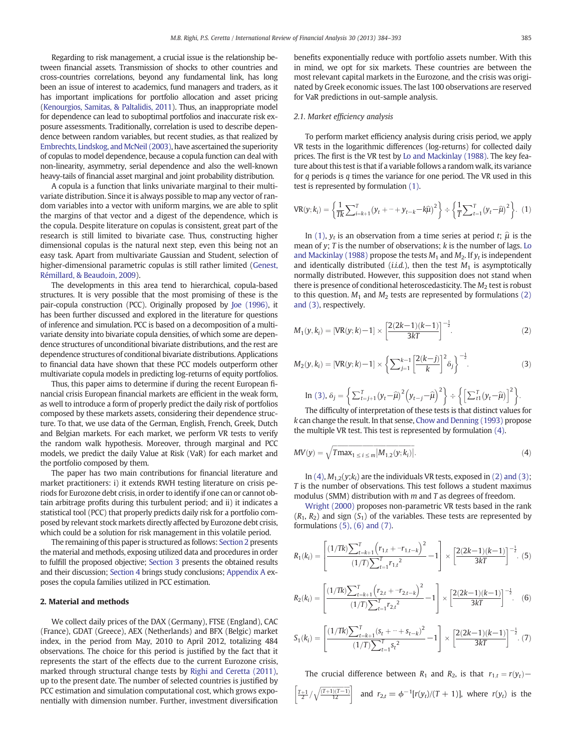Regarding to risk management, a crucial issue is the relationship between financial assets. Transmission of shocks to other countries and cross-countries correlations, beyond any fundamental link, has long been an issue of interest to academics, fund managers and traders, as it has important implications for portfolio allocation and asset pricing [\(Kenourgios, Samitas, & Paltalidis, 2011\)](#page--1-0). Thus, an inappropriate model for dependence can lead to suboptimal portfolios and inaccurate risk exposure assessments. Traditionally, correlation is used to describe dependence between random variables, but recent studies, as that realized by [Embrechts, Lindskog, and McNeil \(2003\),](#page--1-0) have ascertained the superiority of copulas to model dependence, because a copula function can deal with non-linearity, asymmetry, serial dependence and also the well-known heavy-tails of financial asset marginal and joint probability distribution.

A copula is a function that links univariate marginal to their multivariate distribution. Since it is always possible to map any vector of random variables into a vector with uniform margins, we are able to split the margins of that vector and a digest of the dependence, which is the copula. Despite literature on copulas is consistent, great part of the research is still limited to bivariate case. Thus, constructing higher dimensional copulas is the natural next step, even this being not an easy task. Apart from multivariate Gaussian and Student, selection of higher-dimensional parametric copulas is still rather limited [\(Genest,](#page--1-0) [Rémillard, & Beaudoin, 2009](#page--1-0)).

The developments in this area tend to hierarchical, copula-based structures. It is very possible that the most promising of these is the pair-copula construction (PCC). Originally proposed by [Joe \(1996\)](#page--1-0), it has been further discussed and explored in the literature for questions of inference and simulation. PCC is based on a decomposition of a multivariate density into bivariate copula densities, of which some are dependence structures of unconditional bivariate distributions, and the rest are dependence structures of conditional bivariate distributions. Applications to financial data have shown that these PCC models outperform other multivariate copula models in predicting log-returns of equity portfolios.

Thus, this paper aims to determine if during the recent European financial crisis European financial markets are efficient in the weak form, as well to introduce a form of properly predict the daily risk of portfolios composed by these markets assets, considering their dependence structure. To that, we use data of the German, English, French, Greek, Dutch and Belgian markets. For each market, we perform VR tests to verify the random walk hypothesis. Moreover, through marginal and PCC models, we predict the daily Value at Risk (VaR) for each market and the portfolio composed by them.

The paper has two main contributions for financial literature and market practitioners: i) it extends RWH testing literature on crisis periods for Eurozone debt crisis, in order to identify if one can or cannot obtain arbitrage profits during this turbulent period; and ii) it indicates a statistical tool (PCC) that properly predicts daily risk for a portfolio composed by relevant stock markets directly affected by Eurozone debt crisis, which could be a solution for risk management in this volatile period.

The remaining of this paper is structured as follows: Section 2 presents the material and methods, exposing utilized data and procedures in order to fulfill the proposed objective; [Section 3](#page--1-0) presents the obtained results and their discussion; [Section 4](#page--1-0) brings study conclusions; [Appendix A](#page--1-0) exposes the copula families utilized in PCC estimation.

### 2. Material and methods

We collect daily prices of the DAX (Germany), FTSE (England), CAC (France), GDAT (Greece), AEX (Netherlands) and BFX (Belgic) market index, in the period from May, 2010 to April 2012, totalizing 484 observations. The choice for this period is justified by the fact that it represents the start of the effects due to the current Eurozone crisis, marked through structural change tests by [Righi and Ceretta \(2011\),](#page--1-0) up to the present date. The number of selected countries is justified by PCC estimation and simulation computational cost, which grows exponentially with dimension number. Further, investment diversification benefits exponentially reduce with portfolio assets number. With this in mind, we opt for six markets. These countries are between the most relevant capital markets in the Eurozone, and the crisis was originated by Greek economic issues. The last 100 observations are reserved for VaR predictions in out-sample analysis.

#### 2.1. Market efficiency analysis

To perform market efficiency analysis during crisis period, we apply VR tests in the logarithmic differences (log-returns) for collected daily prices. The first is the VR test by [Lo and Mackinlay \(1988\)](#page--1-0). The key feature about this test is that if a variable follows a random walk, its variance for  $q$  periods is  $q$  times the variance for one period. The VR used in this test is represented by formulation (1).

$$
VR(y; k_i) = \left\{ \frac{1}{Tk} \sum_{i=k+1}^{T} (y_t + \dots + y_{t-k} - k\hat{\mu})^2 \right\} \div \left\{ \frac{1}{T} \sum_{t=1}^{T} (y_t - \hat{\mu})^2 \right\}.
$$
 (1)

In (1),  $y_t$  is an observation from a time series at period *t*;  $\hat{\mu}$  is the mean of y;  $T$  is the number of observations;  $k$  is the number of lags. [Lo](#page--1-0) [and Mackinlay \(1988\)](#page--1-0) propose the tests  $M_1$  and  $M_2$ . If  $y_t$  is independent and identically distributed (*i.i.d.*), then the test  $M_1$  is asymptotically normally distributed. However, this supposition does not stand when there is presence of conditional heteroscedasticity. The  $M<sub>2</sub>$  test is robust to this question.  $M_1$  and  $M_2$  tests are represented by formulations (2) and (3), respectively.

$$
M_1(y, k_i) = [VR(y; k) - 1] \times \left[\frac{2(2k-1)(k-1)}{3kT}\right]^{-\frac{1}{2}}.
$$
 (2)

$$
M_2(y, k_i) = [\text{VR}(y; k) - 1] \times \left\{ \sum_{j=1}^{k-1} \left[ \frac{2(k-j)}{k} \right]^2 \delta_j \right\}^{-\frac{1}{2}}.
$$
 (3)

In (3), 
$$
\delta_j = \left\{ \sum_{t=j+1}^T (y_t - \widehat{\mu})^2 (y_{t-j} - \widehat{\mu})^2 \right\} \div \left\{ \left[ \sum_{t=1}^T (y_t - \widehat{\mu}) \right]^2 \right\}.
$$

The difficulty of interpretation of these tests is that distinct values for k can change the result. In that sense, [Chow and Denning \(1993\)](#page--1-0) propose the multiple VR test. This test is represented by formulation (4).

$$
MV(y) = \sqrt{T \max_{1 \le i \le m} |M_{1,2}(y; k_i)|}.
$$
 (4)

In (4),  $M_{1,2}(y;k<sub>i</sub>)$  are the individuals VR tests, exposed in (2) and (3); T is the number of observations. This test follows a student maximus modulus (SMM) distribution with  $m$  and  $T$  as degrees of freedom.

[Wright \(2000\)](#page--1-0) proposes non-parametric VR tests based in the rank  $(R_1, R_2)$  and sign  $(S_1)$  of the variables. These tests are represented by formulations  $(5)$ ,  $(6)$  and  $(7)$ .

$$
R_1(k_i) = \left[\frac{(1/Tk)\sum_{t=k+1}^T (r_{1,t} + \cdots r_{1,t-k})^2}{(1/T)\sum_{t=1}^T r_{1,t}^2} - 1\right] \times \left[\frac{2(2k-1)(k-1)}{3kT}\right]^{-\frac{1}{2}}.
$$
(5)

$$
R_2(k_i) = \left[ \frac{(1/Tk)\sum_{t=k+1}^T (r_{2,t} + \cdots r_{2,t-k})^2}{(1/T)\sum_{t=1}^T r_{2,t}^2} - 1 \right] \times \left[ \frac{2(2k-1)(k-1)}{3kT} \right]^{-\frac{1}{2}}.
$$
 (6)

$$
S_1(k_i)=\left[\frac{(1/Tk)\sum_{t=k+1}^T(s_t+\cdots+s_{t-k})^2}{(1/T)\sum_{t=1}^T s_t^2}-1\right]\times\left[\frac{2(2k-1)(k-1)}{3kT}\right]^{-\frac{1}{2}}.\,\,(7)
$$

The crucial difference between  $R_1$  and  $R_2$ , is that  $r_{1,t} = r(y_t) \frac{T+1}{T+1}$  $\frac{+1}{2}$ /  $(T+1)(T-1)$  $(T+1)(T-1)$  $\left\lceil \frac{T+1}{2}/\sqrt{\frac{(T+1)(T-1)}{12}} \right\rceil$ and  $r_{2,t} = \phi^{-1}[r(y_t)/(T+1)]$ , where  $r(y_t)$  is the